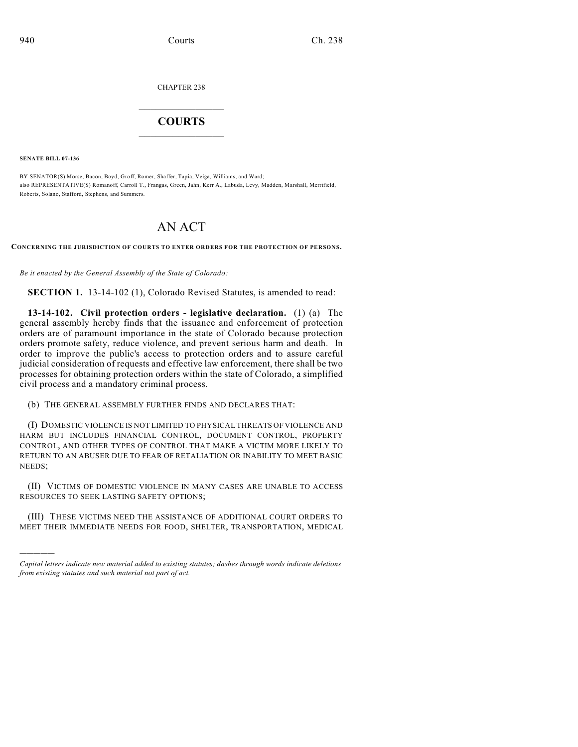CHAPTER 238

## $\overline{\phantom{a}}$  . The set of the set of the set of the set of the set of the set of the set of the set of the set of the set of the set of the set of the set of the set of the set of the set of the set of the set of the set o **COURTS**  $\_$

**SENATE BILL 07-136**

)))))

BY SENATOR(S) Morse, Bacon, Boyd, Groff, Romer, Shaffer, Tapia, Veiga, Williams, and Ward; also REPRESENTATIVE(S) Romanoff, Carroll T., Frangas, Green, Jahn, Kerr A., Labuda, Levy, Madden, Marshall, Merrifield, Roberts, Solano, Stafford, Stephens, and Summers.

## AN ACT

**CONCERNING THE JURISDICTION OF COURTS TO ENTER ORDERS FOR THE PROTECTION OF PERSONS.**

*Be it enacted by the General Assembly of the State of Colorado:*

**SECTION 1.** 13-14-102 (1), Colorado Revised Statutes, is amended to read:

**13-14-102. Civil protection orders - legislative declaration.** (1) (a) The general assembly hereby finds that the issuance and enforcement of protection orders are of paramount importance in the state of Colorado because protection orders promote safety, reduce violence, and prevent serious harm and death. In order to improve the public's access to protection orders and to assure careful judicial consideration of requests and effective law enforcement, there shall be two processes for obtaining protection orders within the state of Colorado, a simplified civil process and a mandatory criminal process.

(b) THE GENERAL ASSEMBLY FURTHER FINDS AND DECLARES THAT:

(I) DOMESTIC VIOLENCE IS NOT LIMITED TO PHYSICAL THREATS OF VIOLENCE AND HARM BUT INCLUDES FINANCIAL CONTROL, DOCUMENT CONTROL, PROPERTY CONTROL, AND OTHER TYPES OF CONTROL THAT MAKE A VICTIM MORE LIKELY TO RETURN TO AN ABUSER DUE TO FEAR OF RETALIATION OR INABILITY TO MEET BASIC NEEDS;

(II) VICTIMS OF DOMESTIC VIOLENCE IN MANY CASES ARE UNABLE TO ACCESS RESOURCES TO SEEK LASTING SAFETY OPTIONS;

(III) THESE VICTIMS NEED THE ASSISTANCE OF ADDITIONAL COURT ORDERS TO MEET THEIR IMMEDIATE NEEDS FOR FOOD, SHELTER, TRANSPORTATION, MEDICAL

*Capital letters indicate new material added to existing statutes; dashes through words indicate deletions from existing statutes and such material not part of act.*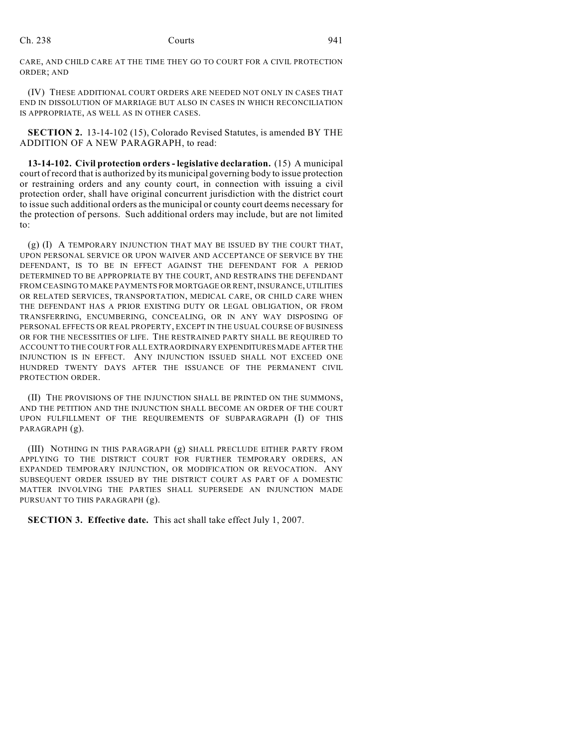CARE, AND CHILD CARE AT THE TIME THEY GO TO COURT FOR A CIVIL PROTECTION ORDER; AND

(IV) THESE ADDITIONAL COURT ORDERS ARE NEEDED NOT ONLY IN CASES THAT END IN DISSOLUTION OF MARRIAGE BUT ALSO IN CASES IN WHICH RECONCILIATION IS APPROPRIATE, AS WELL AS IN OTHER CASES.

**SECTION 2.** 13-14-102 (15), Colorado Revised Statutes, is amended BY THE ADDITION OF A NEW PARAGRAPH, to read:

**13-14-102. Civil protection orders - legislative declaration.** (15) A municipal court of record that is authorized by its municipal governing body to issue protection or restraining orders and any county court, in connection with issuing a civil protection order, shall have original concurrent jurisdiction with the district court to issue such additional orders as the municipal or county court deems necessary for the protection of persons. Such additional orders may include, but are not limited to:

(g) (I) A TEMPORARY INJUNCTION THAT MAY BE ISSUED BY THE COURT THAT, UPON PERSONAL SERVICE OR UPON WAIVER AND ACCEPTANCE OF SERVICE BY THE DEFENDANT, IS TO BE IN EFFECT AGAINST THE DEFENDANT FOR A PERIOD DETERMINED TO BE APPROPRIATE BY THE COURT, AND RESTRAINS THE DEFENDANT FROM CEASING TO MAKE PAYMENTS FOR MORTGAGE OR RENT, INSURANCE, UTILITIES OR RELATED SERVICES, TRANSPORTATION, MEDICAL CARE, OR CHILD CARE WHEN THE DEFENDANT HAS A PRIOR EXISTING DUTY OR LEGAL OBLIGATION, OR FROM TRANSFERRING, ENCUMBERING, CONCEALING, OR IN ANY WAY DISPOSING OF PERSONAL EFFECTS OR REAL PROPERTY, EXCEPT IN THE USUAL COURSE OF BUSINESS OR FOR THE NECESSITIES OF LIFE. THE RESTRAINED PARTY SHALL BE REQUIRED TO ACCOUNT TO THE COURT FOR ALL EXTRAORDINARY EXPENDITURES MADE AFTER THE INJUNCTION IS IN EFFECT. ANY INJUNCTION ISSUED SHALL NOT EXCEED ONE HUNDRED TWENTY DAYS AFTER THE ISSUANCE OF THE PERMANENT CIVIL PROTECTION ORDER.

(II) THE PROVISIONS OF THE INJUNCTION SHALL BE PRINTED ON THE SUMMONS, AND THE PETITION AND THE INJUNCTION SHALL BECOME AN ORDER OF THE COURT UPON FULFILLMENT OF THE REQUIREMENTS OF SUBPARAGRAPH (I) OF THIS PARAGRAPH (g).

(III) NOTHING IN THIS PARAGRAPH (g) SHALL PRECLUDE EITHER PARTY FROM APPLYING TO THE DISTRICT COURT FOR FURTHER TEMPORARY ORDERS, AN EXPANDED TEMPORARY INJUNCTION, OR MODIFICATION OR REVOCATION. ANY SUBSEQUENT ORDER ISSUED BY THE DISTRICT COURT AS PART OF A DOMESTIC MATTER INVOLVING THE PARTIES SHALL SUPERSEDE AN INJUNCTION MADE PURSUANT TO THIS PARAGRAPH (g).

**SECTION 3. Effective date.** This act shall take effect July 1, 2007.